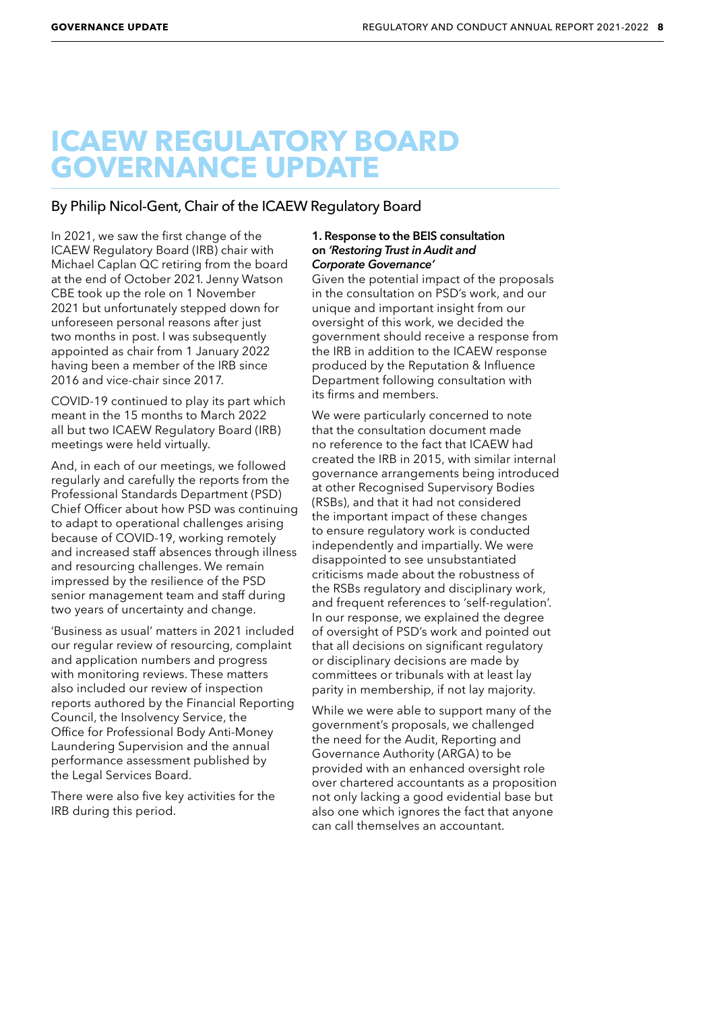# **ICAEW REGULATORY BOARD GOVERNANCE UPDATE**

## By Philip Nicol-Gent, Chair of the ICAEW Regulatory Board

In 2021, we saw the first change of the ICAEW Regulatory Board (IRB) chair with Michael Caplan QC retiring from the board at the end of October 2021. Jenny Watson CBE took up the role on 1 November 2021 but unfortunately stepped down for unforeseen personal reasons after just two months in post. I was subsequently appointed as chair from 1 January 2022 having been a member of the IRB since 2016 and vice-chair since 2017.

COVID-19 continued to play its part which meant in the 15 months to March 2022 all but two ICAEW Regulatory Board (IRB) meetings were held virtually.

And, in each of our meetings, we followed regularly and carefully the reports from the Professional Standards Department (PSD) Chief Officer about how PSD was continuing to adapt to operational challenges arising because of COVID-19, working remotely and increased staff absences through illness and resourcing challenges. We remain impressed by the resilience of the PSD senior management team and staff during two years of uncertainty and change.

'Business as usual' matters in 2021 included our regular review of resourcing, complaint and application numbers and progress with monitoring reviews. These matters also included our review of inspection reports authored by the Financial Reporting Council, the Insolvency Service, the Office for Professional Body Anti-Money Laundering Supervision and the annual performance assessment published by the Legal Services Board.

There were also five key activities for the IRB during this period.

#### **1. Response to the BEIS consultation on** *'Restoring Trust in Audit and Corporate Governance'*

Given the potential impact of the proposals in the consultation on PSD's work, and our unique and important insight from our oversight of this work, we decided the government should receive a response from the IRB in addition to the ICAEW response produced by the Reputation & Influence Department following consultation with its firms and members.

We were particularly concerned to note that the consultation document made no reference to the fact that ICAEW had created the IRB in 2015, with similar internal governance arrangements being introduced at other Recognised Supervisory Bodies (RSBs), and that it had not considered the important impact of these changes to ensure regulatory work is conducted independently and impartially. We were disappointed to see unsubstantiated criticisms made about the robustness of the RSBs regulatory and disciplinary work, and frequent references to 'self-regulation'. In our response, we explained the degree of oversight of PSD's work and pointed out that all decisions on significant regulatory or disciplinary decisions are made by committees or tribunals with at least lay parity in membership, if not lay majority.

While we were able to support many of the government's proposals, we challenged the need for the Audit, Reporting and Governance Authority (ARGA) to be provided with an enhanced oversight role over chartered accountants as a proposition not only lacking a good evidential base but also one which ignores the fact that anyone can call themselves an accountant.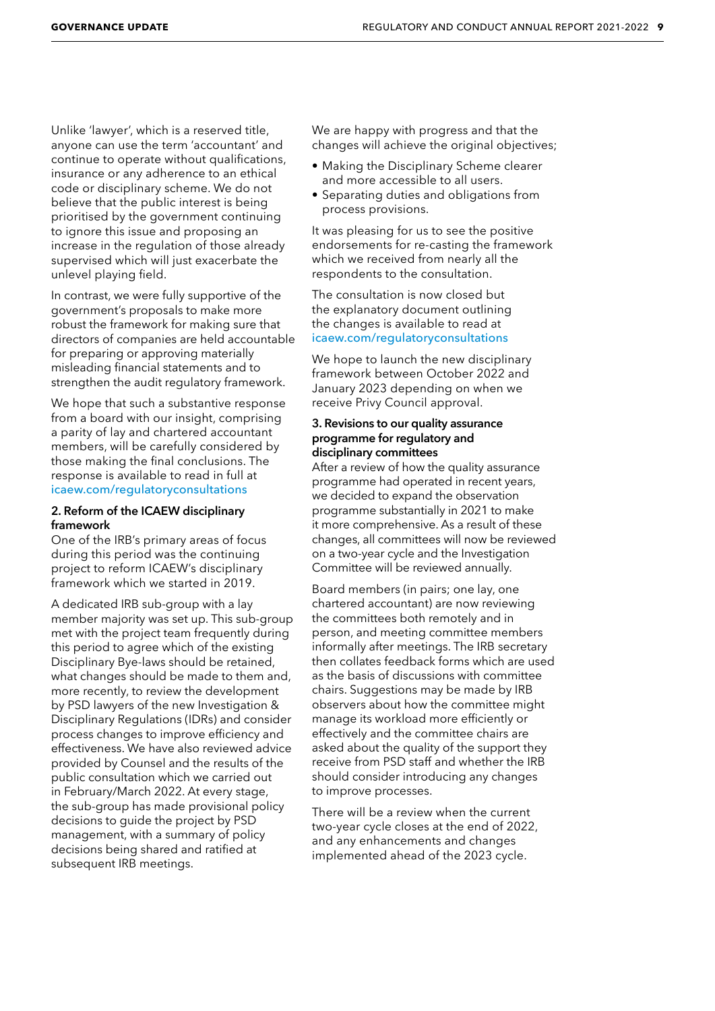Unlike 'lawyer', which is a reserved title, anyone can use the term 'accountant' and continue to operate without qualifications, insurance or any adherence to an ethical code or disciplinary scheme. We do not believe that the public interest is being prioritised by the government continuing to ignore this issue and proposing an increase in the regulation of those already supervised which will just exacerbate the unlevel playing field.

In contrast, we were fully supportive of the government's proposals to make more robust the framework for making sure that directors of companies are held accountable for preparing or approving materially misleading financial statements and to strengthen the audit regulatory framework.

We hope that such a substantive response from a board with our insight, comprising a parity of lay and chartered accountant members, will be carefully considered by those making the final conclusions. The response is available to read in full at [icaew.com/regulatoryconsultations](http://icaew.com/regulatoryconsultations)

#### **2. Reform of the ICAEW disciplinary framework**

One of the IRB's primary areas of focus during this period was the continuing project to reform ICAEW's disciplinary framework which we started in 2019.

A dedicated IRB sub-group with a lay member majority was set up. This sub-group met with the project team frequently during this period to agree which of the existing Disciplinary Bye-laws should be retained, what changes should be made to them and, more recently, to review the development by PSD lawyers of the new Investigation & Disciplinary Regulations (IDRs) and consider process changes to improve efficiency and effectiveness. We have also reviewed advice provided by Counsel and the results of the public consultation which we carried out in February/March 2022. At every stage, the sub-group has made provisional policy decisions to guide the project by PSD management, with a summary of policy decisions being shared and ratified at subsequent IRB meetings.

We are happy with progress and that the changes will achieve the original objectives;

- Making the Disciplinary Scheme clearer and more accessible to all users.
- Separating duties and obligations from process provisions.

It was pleasing for us to see the positive endorsements for re-casting the framework which we received from nearly all the respondents to the consultation.

The consultation is now closed but the explanatory document outlining the changes is available to read at [icaew.com/regulatoryconsultations](http://icaew.com/regulatoryconsultations)

We hope to launch the new disciplinary framework between October 2022 and January 2023 depending on when we receive Privy Council approval.

### **3. Revisions to our quality assurance programme for regulatory and disciplinary committees**

After a review of how the quality assurance programme had operated in recent years, we decided to expand the observation programme substantially in 2021 to make it more comprehensive. As a result of these changes, all committees will now be reviewed on a two-year cycle and the Investigation Committee will be reviewed annually.

Board members (in pairs; one lay, one chartered accountant) are now reviewing the committees both remotely and in person, and meeting committee members informally after meetings. The IRB secretary then collates feedback forms which are used as the basis of discussions with committee chairs. Suggestions may be made by IRB observers about how the committee might manage its workload more efficiently or effectively and the committee chairs are asked about the quality of the support they receive from PSD staff and whether the IRB should consider introducing any changes to improve processes.

There will be a review when the current two-year cycle closes at the end of 2022, and any enhancements and changes implemented ahead of the 2023 cycle.